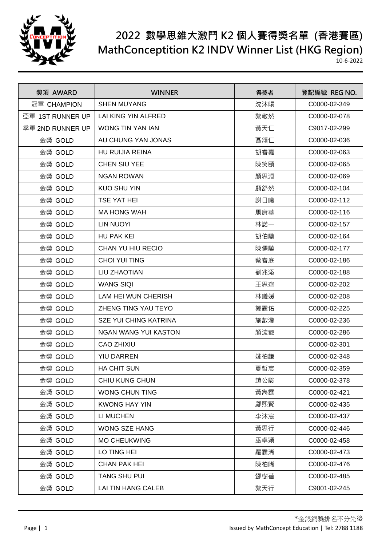

| 獎項 AWARD         | <b>WINNER</b>                | 得獎者 | 登記編號 REG NO. |
|------------------|------------------------------|-----|--------------|
| 冠軍 CHAMPION      | <b>SHEN MUYANG</b>           | 沈沐暘 | C0000-02-349 |
| 亞軍 1ST RUNNER UP | LAI KING YIN ALFRED          | 黎敬然 | C0000-02-078 |
| 季軍 2ND RUNNER UP | WONG TIN YAN IAN             | 黃天仁 | C9017-02-299 |
| 金獎 GOLD          | AU CHUNG YAN JONAS           | 區頌仁 | C0000-02-036 |
| 金獎 GOLD          | <b>HU RUIJIA REINA</b>       | 胡睿嘉 | C0000-02-063 |
| 金獎 GOLD          | <b>CHEN SIU YEE</b>          | 陳笑頤 | C0000-02-065 |
| 金獎 GOLD          | <b>NGAN ROWAN</b>            | 顏思淵 | C0000-02-069 |
| 金獎 GOLD          | <b>KUO SHU YIN</b>           | 顧舒然 | C0000-02-104 |
| 金獎 GOLD          | <b>TSE YAT HEI</b>           | 謝日曦 | C0000-02-112 |
| 金獎 GOLD          | <b>MA HONG WAH</b>           | 馬康華 | C0000-02-116 |
| 金獎 GOLD          | <b>LIN NUOYI</b>             | 林諾一 | C0000-02-157 |
| 金獎 GOLD          | <b>HU PAK KEI</b>            | 胡伯驥 | C0000-02-164 |
| 金獎 GOLD          | CHAN YU HIU RECIO            | 陳儒驍 | C0000-02-177 |
| 金獎 GOLD          | <b>CHOI YUI TING</b>         | 蔡睿庭 | C0000-02-186 |
| 金獎 GOLD          | LIU ZHAOTIAN                 | 劉兆添 | C0000-02-188 |
| 金獎 GOLD          | <b>WANG SIQI</b>             | 王思齊 | C0000-02-202 |
| 金獎 GOLD          | LAM HEI WUN CHERISH          | 林曦媛 | C0000-02-208 |
| 金獎 GOLD          | ZHENG TING YAU TEYO          | 鄭霆佑 | C0000-02-225 |
| 金獎 GOLD          | <b>SZE YUI CHING KATRINA</b> | 施叡澄 | C0000-02-236 |
| 金獎 GOLD          | <b>NGAN WANG YUI KASTON</b>  | 顏浤叡 | C0000-02-286 |
| 金獎 GOLD          | <b>CAO ZHIXIU</b>            |     | C0000-02-301 |
| 金獎 GOLD          | <b>YIU DARREN</b>            | 姚柏謙 | C0000-02-348 |
| 金獎 GOLD          | <b>HA CHIT SUN</b>           | 夏晢宸 | C0000-02-359 |
| 金獎 GOLD          | CHIU KUNG CHUN               | 趙公駿 | C0000-02-378 |
| 金獎 GOLD          | <b>WONG CHUN TING</b>        | 黃雋霆 | C0000-02-421 |
| 金獎 GOLD          | <b>KWONG HAY YIN</b>         | 鄺煕賢 | C0000-02-435 |
| 金獎 GOLD          | LI MUCHEN                    | 李沐宸 | C0000-02-437 |
| 金獎 GOLD          | <b>WONG SZE HANG</b>         | 黃思行 | C0000-02-446 |
| 金獎 GOLD          | <b>MO CHEUKWING</b>          | 巫卓穎 | C0000-02-458 |
| 金獎 GOLD          | LO TING HEI                  | 羅霆浠 | C0000-02-473 |
| 金獎 GOLD          | <b>CHAN PAK HEI</b>          | 陳柏晞 | C0000-02-476 |
| 金獎 GOLD          | <b>TANG SHU PUI</b>          | 鄧樹蓓 | C0000-02-485 |
| 金獎 GOLD          | LAI TIN HANG CALEB           | 黎天行 | C9001-02-245 |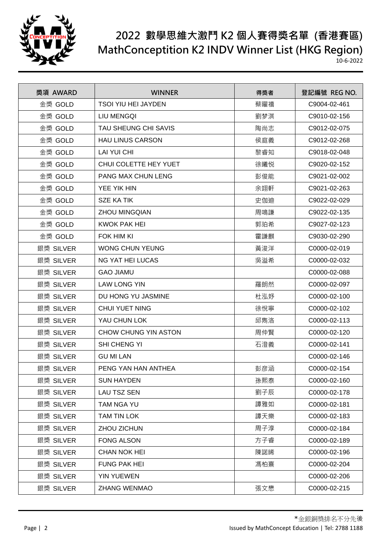

| 獎項 AWARD  | <b>WINNER</b>              | 得獎者 | 登記編號 REG NO. |
|-----------|----------------------------|-----|--------------|
| 金獎 GOLD   | <b>TSOI YIU HEI JAYDEN</b> | 蔡矅禧 | C9004-02-461 |
| 金獎 GOLD   | <b>LIU MENGQI</b>          | 劉梦淇 | C9010-02-156 |
| 金獎 GOLD   | TAU SHEUNG CHI SAVIS       | 陶尚志 | C9012-02-075 |
| 金獎 GOLD   | <b>HAU LINUS CARSON</b>    | 侯庭義 | C9012-02-268 |
| 金獎 GOLD   | LAI YUI CHI                | 黎睿知 | C9018-02-048 |
| 金獎 GOLD   | CHUI COLETTE HEY YUET      | 徐曦悦 | C9020-02-152 |
| 金獎 GOLD   | <b>PANG MAX CHUN LENG</b>  | 彭俊能 | C9021-02-002 |
| 金獎 GOLD   | YEE YIK HIN                | 余翊軒 | C9021-02-263 |
| 金獎 GOLD   | <b>SZE KA TIK</b>          | 史伽迪 | C9022-02-029 |
| 金獎 GOLD   | <b>ZHOU MINGQIAN</b>       | 周鳴謙 | C9022-02-135 |
| 金獎 GOLD   | <b>KWOK PAK HEI</b>        | 郭珀希 | C9027-02-123 |
| 金獎 GOLD   | FOK HIM KI                 | 霍謙麒 | C9030-02-290 |
| 銀獎 SILVER | <b>WONG CHUN YEUNG</b>     | 黃浚洋 | C0000-02-019 |
| 銀獎 SILVER | <b>NG YAT HEI LUCAS</b>    | 吳溢希 | C0000-02-032 |
| 銀獎 SILVER | <b>GAO JIAMU</b>           |     | C0000-02-088 |
| 銀獎 SILVER | <b>LAW LONG YIN</b>        | 羅朗然 | C0000-02-097 |
| 銀獎 SILVER | DU HONG YU JASMINE         | 杜泓妤 | C0000-02-100 |
| 銀獎 SILVER | <b>CHUI YUET NING</b>      | 徐悅寧 | C0000-02-102 |
| 銀獎 SILVER | YAU CHUN LOK               | 邱雋洛 | C0000-02-113 |
| 銀獎 SILVER | CHOW CHUNG YIN ASTON       | 周仲賢 | C0000-02-120 |
| 銀獎 SILVER | SHI CHENG YI               | 石澄義 | C0000-02-141 |
| 銀獎 SILVER | <b>GU MI LAN</b>           |     | C0000-02-146 |
| 銀獎 SILVER | PENG YAN HAN ANTHEA        | 彭彦涵 | C0000-02-154 |
| 銀獎 SILVER | <b>SUN HAYDEN</b>          | 孫熙泰 | C0000-02-160 |
| 銀獎 SILVER | LAU TSZ SEN                | 劉子辰 | C0000-02-178 |
| 銀獎 SILVER | TAM NGA YU                 | 譚雅如 | C0000-02-181 |
| 銀獎 SILVER | TAM TIN LOK                | 譚天樂 | C0000-02-183 |
| 銀獎 SILVER | ZHOU ZICHUN                | 周子淳 | C0000-02-184 |
| 銀獎 SILVER | <b>FONG ALSON</b>          | 方子睿 | C0000-02-189 |
| 銀獎 SILVER | <b>CHAN NOK HEI</b>        | 陳諾晞 | C0000-02-196 |
| 銀獎 SILVER | <b>FUNG PAK HEI</b>        | 馮柏熹 | C0000-02-204 |
| 銀獎 SILVER | <b>YIN YUEWEN</b>          |     | C0000-02-206 |
| 銀獎 SILVER | <b>ZHANG WENMAO</b>        | 張文懋 | C0000-02-215 |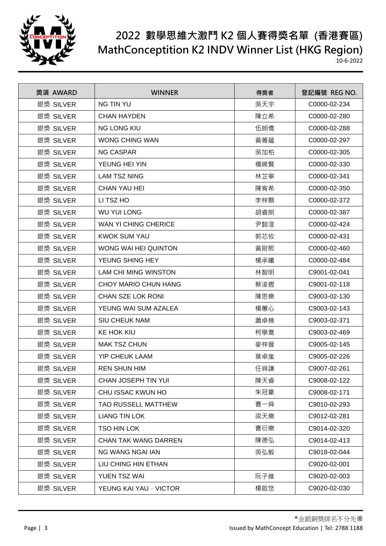

| 獎項 AWARD  | <b>WINNER</b>              | 得獎者 | 登記編號 REG NO. |
|-----------|----------------------------|-----|--------------|
| 銀獎 SILVER | <b>NG TIN YU</b>           | 吳天宇 | C0000-02-234 |
| 銀獎 SILVER | <b>CHAN HAYDEN</b>         | 陳立希 | C0000-02-280 |
| 銀獎 SILVER | <b>NG LONG KIU</b>         | 伍朗僑 | C0000-02-288 |
| 銀獎 SILVER | <b>WONG CHING WAN</b>      | 黃菁藴 | C0000-02-297 |
| 銀獎 SILVER | <b>NG CASPAR</b>           | 吳加柏 | C0000-02-305 |
| 銀獎 SILVER | YEUNG HEI YIN              | 楊晞賢 | C0000-02-330 |
| 銀獎 SILVER | <b>LAM TSZ NING</b>        | 林芷寧 | C0000-02-341 |
| 銀獎 SILVER | <b>CHAN YAU HEI</b>        | 陳宥希 | C0000-02-350 |
| 銀獎 SILVER | LI TSZ HO                  | 李梓顥 | C0000-02-372 |
| 銀獎 SILVER | <b>WU YUI LONG</b>         | 胡睿朗 | C0000-02-387 |
| 銀獎 SILVER | WAN YI CHING CHERICE       | 尹懿澄 | C0000-02-424 |
| 銀獎 SILVER | KWOK SUM YAU               | 郭芯攸 | C0000-02-431 |
| 銀獎 SILVER | WONG WAI HEI QUINTON       | 黃尉熙 | C0000-02-460 |
| 銀獎 SILVER | YEUNG SHING HEY            | 楊承曦 | C0000-02-484 |
| 銀獎 SILVER | LAM CHI MING WINSTON       | 林智明 | C9001-02-041 |
| 銀獎 SILVER | CHOY MARIO CHUN HANG       | 蔡浚鏗 | C9001-02-118 |
| 銀獎 SILVER | CHAN SZE LOK RONI          | 陳思樂 | C9003-02-130 |
| 銀獎 SILVER | YEUNG WAI SUM AZALEA       | 楊蕙心 | C9003-02-143 |
| 銀獎 SILVER | <b>SIU CHEUK NAM</b>       | 蕭卓楠 | C9003-02-371 |
| 銀獎 SILVER | KE HOK KIU                 | 柯學喬 | C9003-02-469 |
| 銀獎 SILVER | <b>MAK TSZ CHUN</b>        | 麥梓晉 | C9005-02-145 |
| 銀獎 SILVER | <b>YIP CHEUK LAAM</b>      | 葉卓嵐 | C9005-02-226 |
| 銀獎 SILVER | <b>REN SHUN HIM</b>        | 任舜謙 | C9007-02-261 |
| 銀獎 SILVER | <b>CHAN JOSEPH TIN YUI</b> | 陳天睿 | C9008-02-122 |
| 銀獎 SILVER | CHU ISSAC KWUN HO          | 朱冠豪 | C9008-02-171 |
| 銀獎 SILVER | <b>TAO RUSSELL MATTHEW</b> | 曹一舜 | C9010-02-293 |
| 銀獎 SILVER | <b>LIANG TIN LOK</b>       | 梁天樂 | C9012-02-281 |
| 銀獎 SILVER | TSO HIN LOK                | 曹衍樂 | C9014-02-320 |
| 銀獎 SILVER | CHAN TAK WANG DARREN       | 陳德弘 | C9014-02-413 |
| 銀獎 SILVER | <b>NG WANG NGAI IAN</b>    | 吳弘毅 | C9018-02-044 |
| 銀獎 SILVER | LIU CHING HIN ETHAN        |     | C9020-02-001 |
| 銀獎 SILVER | YUEN TSZ WAI               | 阮子維 | C9020-02-003 |
| 銀獎 SILVER | YEUNG KAI YAU · VICTOR     | 楊啟悠 | C9020-02-030 |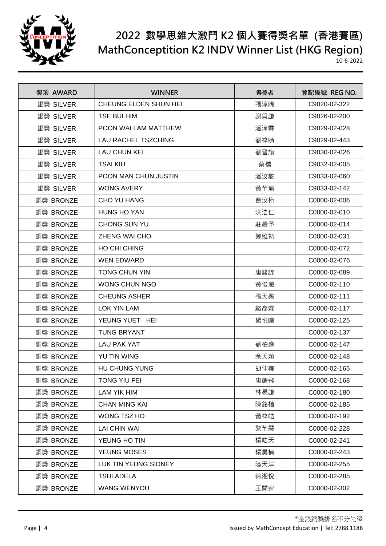

| 獎項 AWARD  | <b>WINNER</b>              | 得獎者 | 登記編號 REG NO. |
|-----------|----------------------------|-----|--------------|
| 銀獎 SILVER | CHEUNG ELDEN SHUN HEI      | 張淳晞 | C9020-02-322 |
| 銀獎 SILVER | <b>TSE BUI HIM</b>         | 謝貝謙 | C9026-02-200 |
| 銀獎 SILVER | POON WAI LAM MATTHEW       | 潘湋霖 | C9029-02-028 |
| 銀獎 SILVER | <b>LAU RACHEL TSZCHING</b> | 劉梓睛 | C9029-02-443 |
| 銀獎 SILVER | <b>LAU CHUN KEI</b>        | 劉晉旗 | C9030-02-026 |
| 銀獎 SILVER | <b>TSAI KIU</b>            | 蔡橋  | C9032-02-005 |
| 銀獎 SILVER | POON MAN CHUN JUSTIN       | 潘汶駿 | C9033-02-060 |
| 銀獎 SILVER | <b>WONG AVERY</b>          | 黃芊瑜 | C9033-02-142 |
| 銅獎 BRONZE | CHO YU HANG                | 曹汝桁 | C0000-02-006 |
| 銅獎 BRONZE | <b>HUNG HO YAN</b>         | 洪浩仁 | C0000-02-010 |
| 銅獎 BRONZE | CHONG SUN YU               | 莊晨予 | C0000-02-014 |
| 銅獎 BRONZE | ZHENG WAI CHO              | 鄭維初 | C0000-02-031 |
| 銅獎 BRONZE | HO CHI CHING               |     | C0000-02-072 |
| 銅獎 BRONZE | <b>WEN EDWARD</b>          |     | C0000-02-076 |
| 銅獎 BRONZE | TONG CHUN YIN              | 唐鋑諺 | C0000-02-089 |
| 銅獎 BRONZE | <b>WONG CHUN NGO</b>       | 黃俊璈 | C0000-02-110 |
| 銅獎 BRONZE | <b>CHEUNG ASHER</b>        | 張天樂 | C0000-02-111 |
| 銅獎 BRONZE | <b>LOK YIN LAM</b>         | 駱彥霖 | C0000-02-117 |
| 銅獎 BRONZE | YEUNG YUET HEI             | 楊悦曦 | C0000-02-125 |
| 銅獎 BRONZE | <b>TUNG BRYANT</b>         |     | C0000-02-137 |
| 銅獎 BRONZE | LAU PAK YAT                | 劉柏逸 | C0000-02-147 |
| 銅獎 BRONZE | YU TIN WING                | 余天穎 | C0000-02-148 |
| 銅獎 BRONZE | HU CHUNG YUNG              | 胡仲雍 | C0000-02-165 |
| 銅獎 BRONZE | TONG YIU FEI               | 唐耀飛 | C0000-02-168 |
| 銅獎 BRONZE | <b>LAM YIK HIM</b>         | 林易謙 | C0000-02-180 |
| 銅獎 BRONZE | <b>CHAN MING KAI</b>       | 陳銘楷 | C0000-02-185 |
| 銅獎 BRONZE | WONG TSZ HO                | 黃梓皓 | C0000-02-192 |
| 銅獎 BRONZE | <b>LAI CHIN WAI</b>        | 黎芊慧 | C0000-02-228 |
| 銅獎 BRONZE | YEUNG HO TIN               | 楊皓天 | C0000-02-241 |
| 銅獎 BRONZE | YEUNG MOSES                | 楊昊楠 | C0000-02-243 |
| 銅獎 BRONZE | LUK TIN YEUNG SIDNEY       | 陸天洋 | C0000-02-255 |
| 銅獎 BRONZE | <b>TSUI ADELA</b>          | 徐湘悅 | C0000-02-285 |
| 銅獎 BRONZE | WANG WENYOU                | 王聞宥 | C0000-02-302 |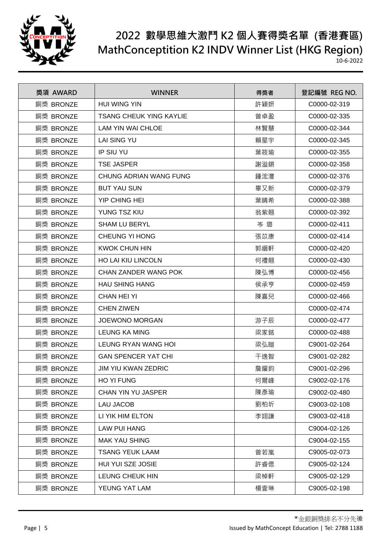

| 獎項 AWARD  | <b>WINNER</b>                  | 得獎者 | 登記編號 REG NO. |
|-----------|--------------------------------|-----|--------------|
| 銅獎 BRONZE | <b>HUI WING YIN</b>            | 許穎妍 | C0000-02-319 |
| 銅獎 BRONZE | <b>TSANG CHEUK YING KAYLIE</b> | 曾卓盈 | C0000-02-335 |
| 銅獎 BRONZE | <b>LAM YIN WAI CHLOE</b>       | 林賢慧 | C0000-02-344 |
| 銅獎 BRONZE | <b>LAI SING YU</b>             | 賴星宇 | C0000-02-345 |
| 銅獎 BRONZE | <b>IP SIU YU</b>               | 葉筱瑜 | C0000-02-355 |
| 銅獎 BRONZE | <b>TSE JASPER</b>              | 謝溢鏘 | C0000-02-358 |
| 銅獎 BRONZE | CHUNG ADRIAN WANG FUNG         | 鍾浤灃 | C0000-02-376 |
| 銅獎 BRONZE | <b>BUT YAU SUN</b>             | 畢又新 | C0000-02-379 |
| 銅獎 BRONZE | YIP CHING HEI                  | 葉晴希 | C0000-02-388 |
| 銅獎 BRONZE | YUNG TSZ KIU                   | 翁紫翹 | C0000-02-392 |
| 銅獎 BRONZE | <b>SHAM LU BERYL</b>           | 岑璐  | C0000-02-411 |
| 銅獎 BRONZE | <b>CHEUNG YI HONG</b>          | 張苡康 | C0000-02-414 |
| 銅獎 BRONZE | <b>KWOK CHUN HIN</b>           | 郭縉軒 | C0000-02-420 |
| 銅獎 BRONZE | <b>HO LAI KIU LINCOLN</b>      | 何禮翹 | C0000-02-430 |
| 銅獎 BRONZE | <b>CHAN ZANDER WANG POK</b>    | 陳弘博 | C0000-02-456 |
| 銅獎 BRONZE | <b>HAU SHING HANG</b>          | 侯承亨 | C0000-02-459 |
| 銅獎 BRONZE | <b>CHAN HEI YI</b>             | 陳喜兒 | C0000-02-466 |
| 銅獎 BRONZE | <b>CHEN ZIWEN</b>              |     | C0000-02-474 |
| 銅獎 BRONZE | <b>JOEWONO MORGAN</b>          | 游子辰 | C0000-02-477 |
| 銅獎 BRONZE | <b>LEUNG KA MING</b>           | 梁家銘 | C0000-02-488 |
| 銅獎 BRONZE | LEUNG RYAN WANG HOI            | 梁弘暟 | C9001-02-264 |
| 銅獎 BRONZE | <b>GAN SPENCER YAT CHI</b>     | 干逸智 | C9001-02-282 |
| 銅獎 BRONZE | JIM YIU KWAN ZEDRIC            | 詹耀鈞 | C9001-02-296 |
| 銅獎 BRONZE | <b>HO YI FUNG</b>              | 何爾峰 | C9002-02-176 |
| 銅獎 BRONZE | CHAN YIN YU JASPER             | 陳彥瑜 | C9002-02-480 |
| 銅獎 BRONZE | <b>LAU JACOB</b>               | 劉柏圻 | C9003-02-108 |
| 銅獎 BRONZE | LI YIK HIM ELTON               | 李翊謙 | C9003-02-418 |
| 銅獎 BRONZE | <b>LAW PUI HANG</b>            |     | C9004-02-126 |
| 銅獎 BRONZE | <b>MAK YAU SHING</b>           |     | C9004-02-155 |
| 銅獎 BRONZE | <b>TSANG YEUK LAAM</b>         | 曾若嵐 | C9005-02-073 |
| 銅獎 BRONZE | HUI YUI SZE JOSIE              | 許睿偲 | C9005-02-124 |
| 銅獎 BRONZE | <b>LEUNG CHEUK HIN</b>         | 梁棹軒 | C9005-02-129 |
| 銅獎 BRONZE | YEUNG YAT LAM                  | 楊壹琳 | C9005-02-198 |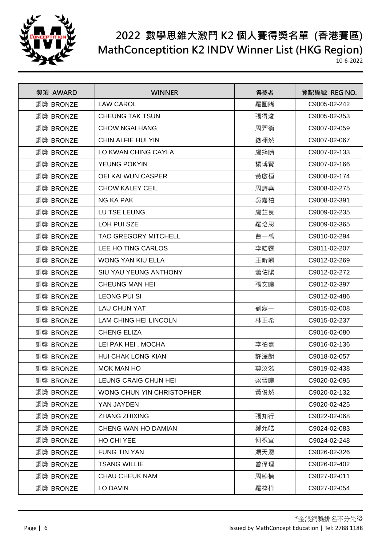

| 獎項 AWARD  | <b>WINNER</b>                | 得獎者 | 登記編號 REG NO. |
|-----------|------------------------------|-----|--------------|
| 銅獎 BRONZE | <b>LAW CAROL</b>             | 羅圓睎 | C9005-02-242 |
| 銅獎 BRONZE | <b>CHEUNG TAK TSUN</b>       | 張得浚 | C9005-02-353 |
| 銅獎 BRONZE | <b>CHOW NGAI HANG</b>        | 周羿衡 | C9007-02-059 |
| 銅獎 BRONZE | CHIN ALFIE HUI YIN           | 錢栩然 | C9007-02-067 |
| 銅獎 BRONZE | LO KWAN CHING CAYLA          | 盧筠晴 | C9007-02-133 |
| 銅獎 BRONZE | YEUNG POKYIN                 | 楊博賢 | C9007-02-166 |
| 銅獎 BRONZE | <b>OEI KAI WUN CASPER</b>    | 黃啟桓 | C9008-02-174 |
| 銅獎 BRONZE | <b>CHOW KALEY CEIL</b>       | 周詩堯 | C9008-02-275 |
| 銅獎 BRONZE | <b>NG KA PAK</b>             | 吳嘉柏 | C9008-02-391 |
| 銅獎 BRONZE | LU TSE LEUNG                 | 盧芷良 | C9009-02-235 |
| 銅獎 BRONZE | LOH PUI SZE                  | 羅培思 | C9009-02-365 |
| 銅獎 BRONZE | <b>TAO GREGORY MITCHELL</b>  | 曹一禹 | C9010-02-294 |
| 銅獎 BRONZE | LEE HO TING CARLOS           | 李皓霆 | C9011-02-207 |
| 銅獎 BRONZE | <b>WONG YAN KIU ELLA</b>     | 王昕翹 | C9012-02-269 |
| 銅獎 BRONZE | SIU YAU YEUNG ANTHONY        | 蕭佑陽 | C9012-02-272 |
| 銅獎 BRONZE | CHEUNG MAN HEI               | 張文曦 | C9012-02-397 |
| 銅獎 BRONZE | <b>LEONG PUI SI</b>          |     | C9012-02-486 |
| 銅獎 BRONZE | <b>LAU CHUN YAT</b>          | 劉寯一 | C9015-02-008 |
| 銅獎 BRONZE | <b>LAM CHING HEI LINCOLN</b> | 林正希 | C9015-02-237 |
| 銅獎 BRONZE | <b>CHENG ELIZA</b>           |     | C9016-02-080 |
| 銅獎 BRONZE | LEI PAK HEI, MOCHA           | 李柏熹 | C9016-02-136 |
| 銅獎 BRONZE | <b>HUI CHAK LONG KIAN</b>    | 許澤朗 | C9018-02-057 |
| 銅獎 BRONZE | <b>MOK MAN HO</b>            | 莫汶澔 | C9019-02-438 |
| 銅獎 BRONZE | LEUNG CRAIG CHUN HEI         | 梁晉曦 | C9020-02-095 |
| 銅獎 BRONZE | WONG CHUN YIN CHRISTOPHER    | 黃俊然 | C9020-02-132 |
| 銅獎 BRONZE | YAN JAYDEN                   |     | C9020-02-425 |
| 銅獎 BRONZE | <b>ZHANG ZHIXING</b>         | 張知行 | C9022-02-068 |
| 銅獎 BRONZE | CHENG WAN HO DAMIAN          | 鄭允皓 | C9024-02-083 |
| 銅獎 BRONZE | HO CHI YEE                   | 何枳宜 | C9024-02-248 |
| 銅獎 BRONZE | <b>FUNG TIN YAN</b>          | 馮天恩 | C9026-02-326 |
| 銅獎 BRONZE | <b>TSANG WILLIE</b>          | 曾偉理 | C9026-02-402 |
| 銅獎 BRONZE | <b>CHAU CHEUK NAM</b>        | 周綽楠 | C9027-02-011 |
| 銅獎 BRONZE | LO DAVIN                     | 羅梓樺 | C9027-02-054 |